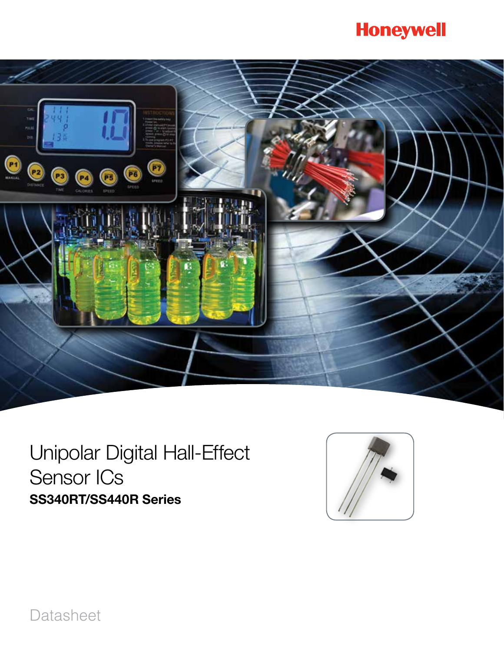# **Honeywell**



# Unipolar Digital Hall-Effect Sensor ICs SS340RT/SS440R Series



Datasheet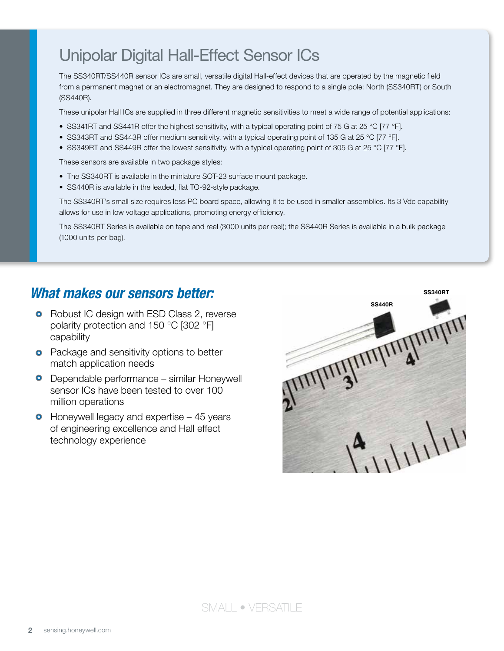The SS340RT/SS440R sensor ICs are small, versatile digital Hall-effect devices that are operated by the magnetic field from a permanent magnet or an electromagnet. They are designed to respond to a single pole: North (SS340RT) or South (SS440R).

These unipolar Hall ICs are supplied in three different magnetic sensitivities to meet a wide range of potential applications:

- SS341RT and SS441R offer the highest sensitivity, with a typical operating point of 75 G at 25 °C [77 °F].
- SS343RT and SS443R offer medium sensitivity, with a typical operating point of 135 G at 25 °C [77 °F].
- SS349RT and SS449R offer the lowest sensitivity, with a typical operating point of 305 G at 25 °C [77 °F].

These sensors are available in two package styles:

- The SS340RT is available in the miniature SOT-23 surface mount package.
- SS440R is available in the leaded, flat TO-92-style package.

The SS340RT's small size requires less PC board space, allowing it to be used in smaller assemblies. Its 3 Vdc capability allows for use in low voltage applications, promoting energy efficiency.

The SS340RT Series is available on tape and reel (3000 units per reel); the SS440R Series is available in a bulk package (1000 units per bag).

### *What makes our sensors better:*

- Robust IC design with ESD Class 2, reverse polarity protection and 150 °C [302 °F] capability
- Package and sensitivity options to better match application needs
- Dependable performance similar Honeywell sensor ICs have been tested to over 100 million operations
- $\bullet$  Honeywell legacy and expertise  $-45$  years of engineering excellence and Hall effect technology experience

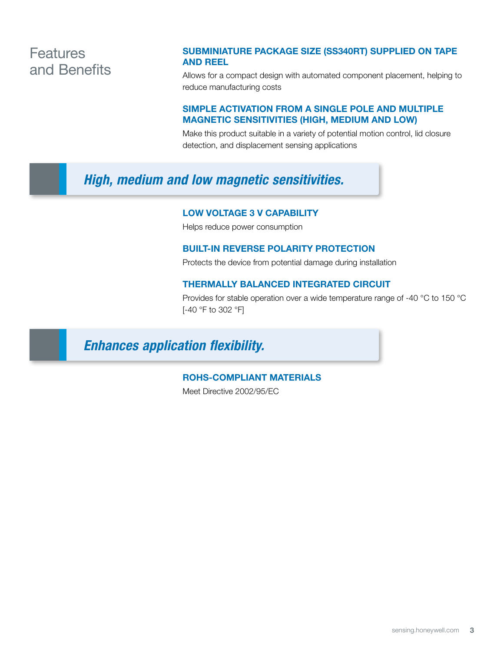### **Features** and Benefits

#### Subminiature package size (SS340RT) supplied on tape and reel

Allows for a compact design with automated component placement, helping to reduce manufacturing costs

#### Simple activation from a single pole and multiple magnetic sensitivities (high, medium and low)

Make this product suitable in a variety of potential motion control, lid closure detection, and displacement sensing applications

### *High, medium and low magnetic sensitivities.*

#### Low voltage 3 V capability

Helps reduce power consumption

#### Built-in reverse polarity protection

Protects the device from potential damage during installation

#### Thermally balanced integrated circuit

Provides for stable operation over a wide temperature range of -40 °C to 150 °C [-40 °F to 302 °F]

### *Enhances application flexibility.*

#### RoHS-compliant materials

Meet Directive 2002/95/EC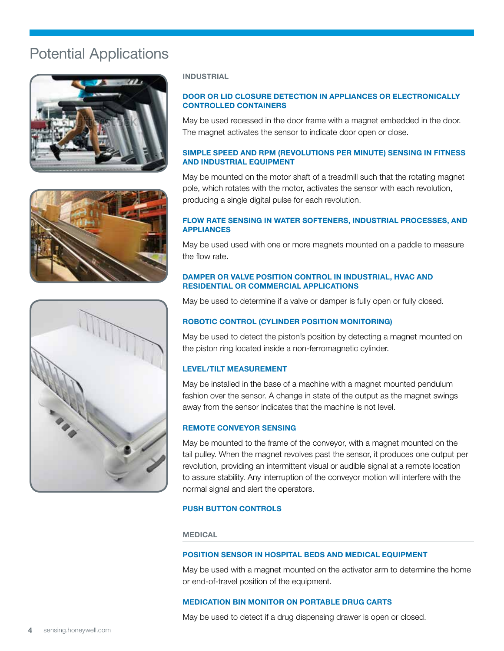### Potential Applications







#### **INDUSTRIAL**

#### Door or lid closure detection in appliances or electronically controlled containers

May be used recessed in the door frame with a magnet embedded in the door. The magnet activates the sensor to indicate door open or close.

#### Simple speed and RPM (revolutions per minute) sensing in fitness and industrial equipment

May be mounted on the motor shaft of a treadmill such that the rotating magnet pole, which rotates with the motor, activates the sensor with each revolution, producing a single digital pulse for each revolution.

#### Flow rate sensing in water softeners, industrial processes, and **APPLIANCES**

May be used used with one or more magnets mounted on a paddle to measure the flow rate.

#### Damper or valve position control in industrial, HVAC and residential or commercial applications

May be used to determine if a valve or damper is fully open or fully closed.

#### Robotic control (cylinder position monitoring)

May be used to detect the piston's position by detecting a magnet mounted on the piston ring located inside a non-ferromagnetic cylinder.

#### Level/tilt measurement

May be installed in the base of a machine with a magnet mounted pendulum fashion over the sensor. A change in state of the output as the magnet swings away from the sensor indicates that the machine is not level.

#### Remote conveyor sensing

May be mounted to the frame of the conveyor, with a magnet mounted on the tail pulley. When the magnet revolves past the sensor, it produces one output per revolution, providing an intermittent visual or audible signal at a remote location to assure stability. Any interruption of the conveyor motion will interfere with the normal signal and alert the operators.

#### PUSH BUTTON CONTROLS

**MEDICAL** 

#### Position sensor in hospital beds and medical equipment

May be used with a magnet mounted on the activator arm to determine the home or end-of-travel position of the equipment.

#### Medication bin monitor on portable drug carts

May be used to detect if a drug dispensing drawer is open or closed.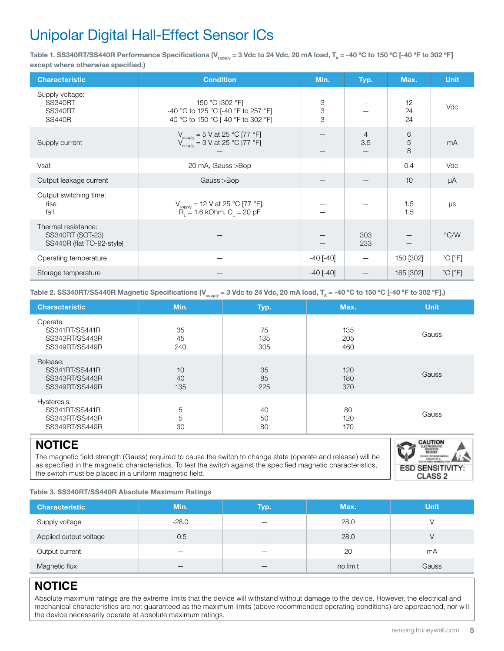Table 1. SS340RT/SS440R Performance Specifications (V<sub>supply</sub> = 3 Vdc to 24 Vdc, 20 mA load, T<sub>A</sub> = -40 °C to 150 °C [-40 °F to 302 °F] except where otherwise specified.)

| <b>Characteristic</b>                                                | <b>Condition</b>                                                                                                                           | Min.            | Typ.                  | Max.           | <b>Unit</b>                  |
|----------------------------------------------------------------------|--------------------------------------------------------------------------------------------------------------------------------------------|-----------------|-----------------------|----------------|------------------------------|
| Supply voltage:<br><b>SS340RT</b><br><b>SS340RT</b><br><b>SS440R</b> | 150 °C [302 °F]<br>-40 °C to 125 °C [-40 °F to 257 °F]<br>-40 °C to 150 °C [-40 °F to 302 °F]                                              | 3<br>3<br>3     |                       | 12<br>24<br>24 | Vdc                          |
| Supply current                                                       | $V_{\text{supply}} = 5 \text{ V at } 25 \text{ °C} [77 \text{ °F}]$<br>$V_{\text{supply}} = 3 \text{ V at } 25 \text{ °C} [77 \text{ °F}]$ |                 | $\overline{4}$<br>3.5 | 6<br>5<br>8    | mA                           |
| Vsat                                                                 | 20 mA, Gauss >Bop                                                                                                                          |                 |                       | 0.4            | Vdc                          |
| Output leakage current                                               | Gauss >Bop                                                                                                                                 |                 |                       | 10             | μA                           |
| Output switching time:<br>rise<br>fall                               | $V_{\text{supply}}$ = 12 V at 25 °C [77 °F],<br>$R_{i}$ = 1.6 kOhm, C <sub>i</sub> = 20 pF                                                 |                 |                       | 1.5<br>1.5     | μs                           |
| Thermal resistance:<br>SS340RT (SOT-23)<br>SS440R (flat TO-92-style) |                                                                                                                                            |                 | 303<br>233            |                | $\degree$ C/W                |
| Operating temperature                                                |                                                                                                                                            | $-40$ [ $-40$ ] |                       | 150 [302]      | $^{\circ}$ C [ $^{\circ}$ F] |
| Storage temperature                                                  |                                                                                                                                            | $-40$ [ $-40$ ] |                       | 165 [302]      | $^{\circ}$ C [ $^{\circ}$ F] |

Table 2. SS340RT/SS440R Magnetic Specifications (V<sub>supply</sub> = 3 Vdc to 24 Vdc, 20 mA load, T<sub>A</sub> = -40 °C to 150 °C [-40 °F to 302 °F].)

| <b>Characteristic</b>                                             | Min.            | Typ.             | Max.              | <b>Unit</b> |
|-------------------------------------------------------------------|-----------------|------------------|-------------------|-------------|
| Operate:<br>SS341RT/SS441R<br>SS343RT/SS443R<br>SS349RT/SS449R    | 35<br>45<br>240 | 75<br>135<br>305 | 135<br>205<br>460 | Gauss       |
| Release:<br>SS341RT/SS441R<br>SS343RT/SS443R<br>SS349RT/SS449R    | 10<br>40<br>135 | 35<br>85<br>225  | 120<br>180<br>370 | Gauss       |
| Hysteresis:<br>SS341RT/SS441R<br>SS343RT/SS443R<br>SS349RT/SS449R | 5<br>5<br>30    | 40<br>50<br>80   | 80<br>120<br>170  | Gauss       |

### **NOTICE**

The magnetic field strength (Gauss) required to cause the switch to change state (operate and release) will be as specified in the magnetic characteristics. To test the switch against the specified magnetic characteristics, the switch must be placed in a uniform magnetic field.



Table 3. SS340RT/SS440R Absolute Maximum Ratings

| <b>Characteristic</b>  | Min.    | Typ. | Max.     | <b>Unit</b> |
|------------------------|---------|------|----------|-------------|
| Supply voltage         | $-28.0$ |      | 28.0     |             |
| Applied output voltage | $-0.5$  |      | 28.0     |             |
| Output current         |         |      | 20       | mA          |
| Magnetic flux          |         |      | no limit | Gauss       |

### **NOTICE**

Absolute maximum ratings are the extreme limits that the device will withstand without damage to the device. However, the electrical and mechanical characteristics are not guaranteed as the maximum limits (above recommended operating conditions) are approached, nor will the device necessarily operate at absolute maximum ratings.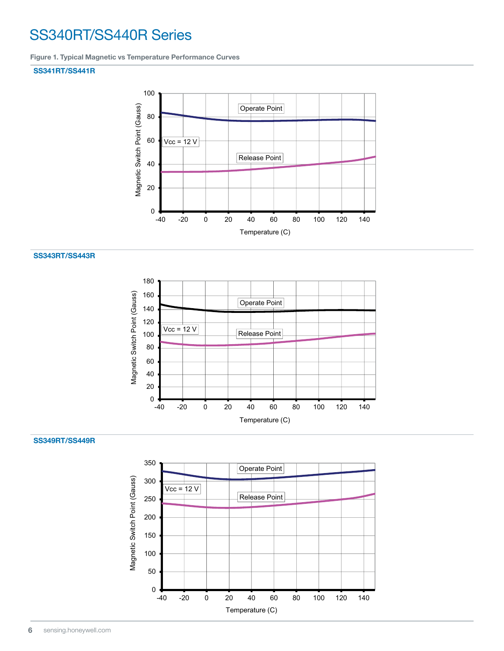## SS340RT/SS440R Series

Figure 1. Typical Magnetic vs Temperature Performance Curves

#### SS341RT/SS441R



#### SS343RT/SS443R



#### SS349RT/SS449R

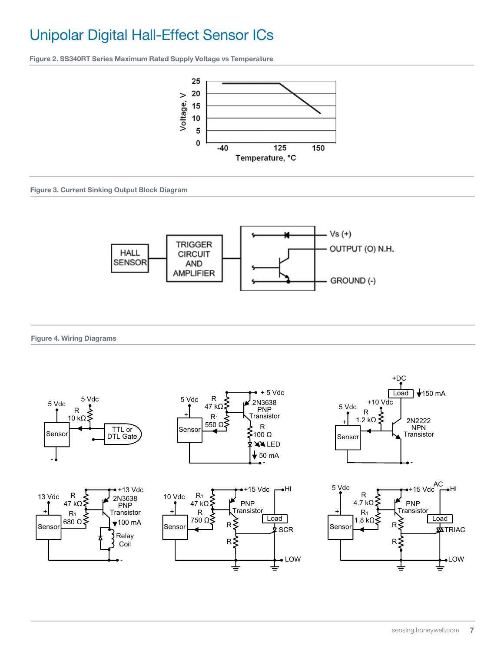Figure 2. SS340RT Series Maximum Rated Supply Voltage vs Temperature



Figure 3. Current Sinking Output Block Diagram



#### Figure 4. Wiring Diagrams

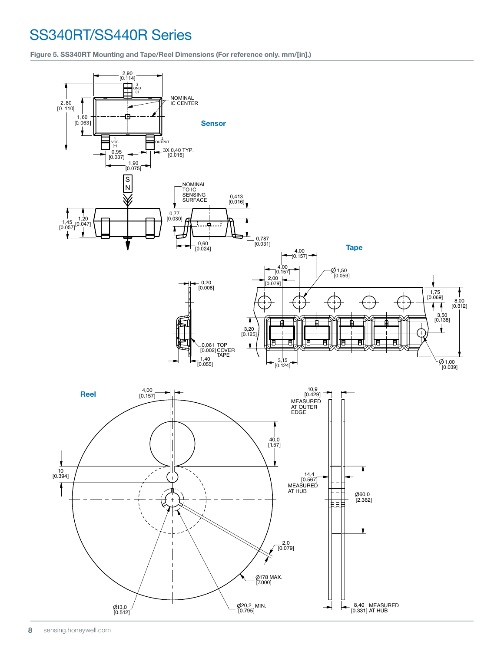## SS340RT/SS440R Series

Figure 5. SS340RT Mounting and Tape/Reel Dimensions (For reference only. mm/[in].)

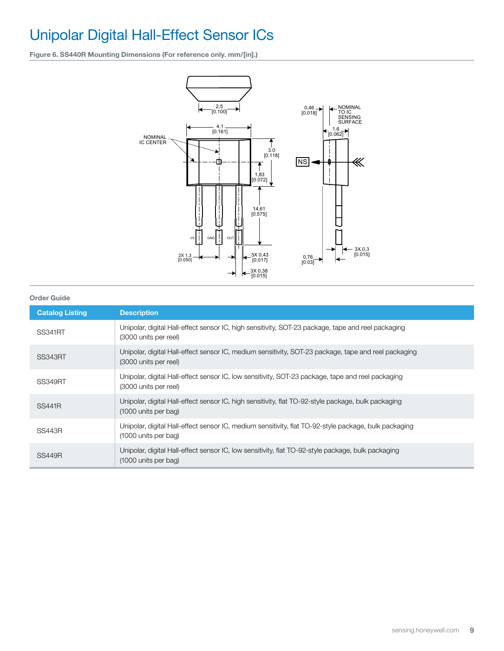Figure 6. SS440R Mounting Dimensions (For reference only. mm/[in].)



#### Order Guide

| <b>Catalog Listing</b> | <b>Description</b>                                                                                                            |
|------------------------|-------------------------------------------------------------------------------------------------------------------------------|
| <b>SS341RT</b>         | Unipolar, digital Hall-effect sensor IC, high sensitivity, SOT-23 package, tape and reel packaging<br>(3000 units per reel)   |
| <b>SS343RT</b>         | Unipolar, digital Hall-effect sensor IC, medium sensitivity, SOT-23 package, tape and reel packaging<br>(3000 units per reel) |
| <b>SS349RT</b>         | Unipolar, digital Hall-effect sensor IC, low sensitivity, SOT-23 package, tape and reel packaging<br>(3000 units per reel)    |
| <b>SS441R</b>          | Unipolar, digital Hall-effect sensor IC, high sensitivity, flat TO-92-style package, bulk packaging<br>(1000 units per bag)   |
| <b>SS443R</b>          | Unipolar, digital Hall-effect sensor IC, medium sensitivity, flat TO-92-style package, bulk packaging<br>(1000 units per bag) |
| SS449R                 | Unipolar, digital Hall-effect sensor IC, low sensitivity, flat TO-92-style package, bulk packaging<br>(1000 units per bag)    |